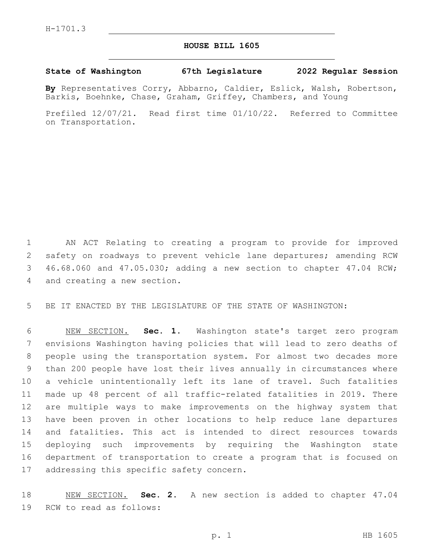## **HOUSE BILL 1605**

## **State of Washington 67th Legislature 2022 Regular Session**

**By** Representatives Corry, Abbarno, Caldier, Eslick, Walsh, Robertson, Barkis, Boehnke, Chase, Graham, Griffey, Chambers, and Young

Prefiled 12/07/21. Read first time 01/10/22. Referred to Committee on Transportation.

 AN ACT Relating to creating a program to provide for improved safety on roadways to prevent vehicle lane departures; amending RCW 46.68.060 and 47.05.030; adding a new section to chapter 47.04 RCW; 4 and creating a new section.

BE IT ENACTED BY THE LEGISLATURE OF THE STATE OF WASHINGTON:

 NEW SECTION. **Sec. 1.** Washington state's target zero program envisions Washington having policies that will lead to zero deaths of people using the transportation system. For almost two decades more than 200 people have lost their lives annually in circumstances where a vehicle unintentionally left its lane of travel. Such fatalities made up 48 percent of all traffic-related fatalities in 2019. There are multiple ways to make improvements on the highway system that have been proven in other locations to help reduce lane departures and fatalities. This act is intended to direct resources towards deploying such improvements by requiring the Washington state department of transportation to create a program that is focused on addressing this specific safety concern.

 NEW SECTION. **Sec. 2.** A new section is added to chapter 47.04 19 RCW to read as follows: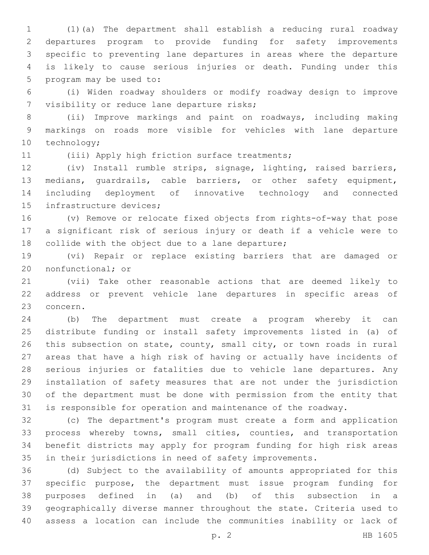(1)(a) The department shall establish a reducing rural roadway departures program to provide funding for safety improvements specific to preventing lane departures in areas where the departure is likely to cause serious injuries or death. Funding under this 5 program may be used to:

 (i) Widen roadway shoulders or modify roadway design to improve 7 visibility or reduce lane departure risks;

 (ii) Improve markings and paint on roadways, including making markings on roads more visible for vehicles with lane departure 10 technology;

11 (iii) Apply high friction surface treatments;

 (iv) Install rumble strips, signage, lighting, raised barriers, medians, guardrails, cable barriers, or other safety equipment, including deployment of innovative technology and connected 15 infrastructure devices;

 (v) Remove or relocate fixed objects from rights-of-way that pose a significant risk of serious injury or death if a vehicle were to 18 collide with the object due to a lane departure;

 (vi) Repair or replace existing barriers that are damaged or 20 nonfunctional; or

 (vii) Take other reasonable actions that are deemed likely to address or prevent vehicle lane departures in specific areas of 23 concern.

 (b) The department must create a program whereby it can distribute funding or install safety improvements listed in (a) of this subsection on state, county, small city, or town roads in rural areas that have a high risk of having or actually have incidents of serious injuries or fatalities due to vehicle lane departures. Any installation of safety measures that are not under the jurisdiction of the department must be done with permission from the entity that is responsible for operation and maintenance of the roadway.

 (c) The department's program must create a form and application process whereby towns, small cities, counties, and transportation benefit districts may apply for program funding for high risk areas in their jurisdictions in need of safety improvements.

 (d) Subject to the availability of amounts appropriated for this specific purpose, the department must issue program funding for purposes defined in (a) and (b) of this subsection in a geographically diverse manner throughout the state. Criteria used to assess a location can include the communities inability or lack of

p. 2 HB 1605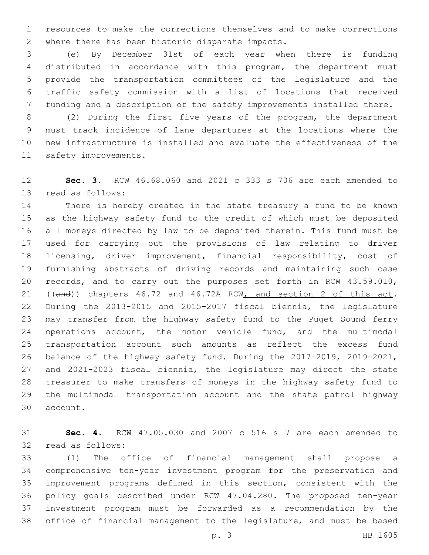resources to make the corrections themselves and to make corrections 2 where there has been historic disparate impacts.

 (e) By December 31st of each year when there is funding distributed in accordance with this program, the department must provide the transportation committees of the legislature and the traffic safety commission with a list of locations that received funding and a description of the safety improvements installed there.

 (2) During the first five years of the program, the department must track incidence of lane departures at the locations where the new infrastructure is installed and evaluate the effectiveness of the 11 safety improvements.

 **Sec. 3.** RCW 46.68.060 and 2021 c 333 s 706 are each amended to 13 read as follows:

 There is hereby created in the state treasury a fund to be known as the highway safety fund to the credit of which must be deposited all moneys directed by law to be deposited therein. This fund must be used for carrying out the provisions of law relating to driver licensing, driver improvement, financial responsibility, cost of furnishing abstracts of driving records and maintaining such case records, and to carry out the purposes set forth in RCW 43.59.010, 21 ((and)) chapters 46.72 and 46.72A RCW, and section 2 of this act. During the 2013-2015 and 2015-2017 fiscal biennia, the legislature may transfer from the highway safety fund to the Puget Sound ferry operations account, the motor vehicle fund, and the multimodal transportation account such amounts as reflect the excess fund balance of the highway safety fund. During the 2017-2019, 2019-2021, and 2021-2023 fiscal biennia, the legislature may direct the state treasurer to make transfers of moneys in the highway safety fund to the multimodal transportation account and the state patrol highway 30 account.

 **Sec. 4.** RCW 47.05.030 and 2007 c 516 s 7 are each amended to 32 read as follows:

 (1) The office of financial management shall propose a comprehensive ten-year investment program for the preservation and improvement programs defined in this section, consistent with the policy goals described under RCW 47.04.280. The proposed ten-year investment program must be forwarded as a recommendation by the office of financial management to the legislature, and must be based